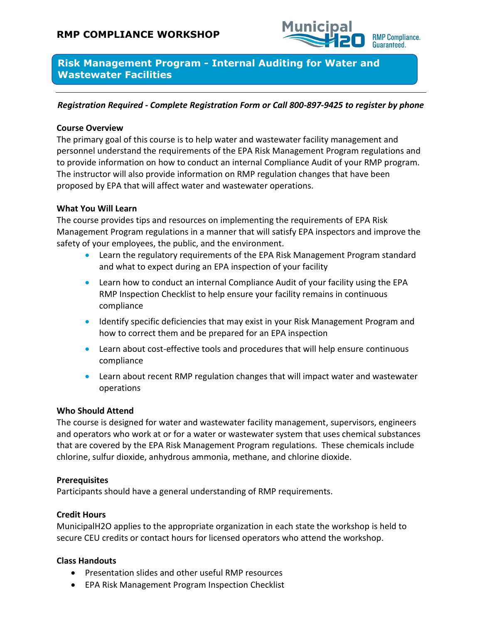

**Risk Management Program - Internal Auditing for Water and Wastewater Facilities**

# *Registration Required - Complete Registration Form or Call 800-897-9425 to register by phone*

# **Course Overview**

The primary goal of this course is to help water and wastewater facility management and personnel understand the requirements of the EPA Risk Management Program regulations and to provide information on how to conduct an internal Compliance Audit of your RMP program. The instructor will also provide information on RMP regulation changes that have been proposed by EPA that will affect water and wastewater operations.

# **What You Will Learn**

The course provides tips and resources on implementing the requirements of EPA Risk Management Program regulations in a manner that will satisfy EPA inspectors and improve the safety of your employees, the public, and the environment.

- Learn the regulatory requirements of the EPA Risk Management Program standard and what to expect during an EPA inspection of your facility
- Learn how to conduct an internal Compliance Audit of your facility using the EPA RMP Inspection Checklist to help ensure your facility remains in continuous compliance
- Identify specific deficiencies that may exist in your Risk Management Program and how to correct them and be prepared for an EPA inspection
- Learn about cost-effective tools and procedures that will help ensure continuous compliance
- Learn about recent RMP regulation changes that will impact water and wastewater operations

#### **Who Should Attend**

The course is designed for water and wastewater facility management, supervisors, engineers and operators who work at or for a water or wastewater system that uses chemical substances that are covered by the EPA Risk Management Program regulations. These chemicals include chlorine, sulfur dioxide, anhydrous ammonia, methane, and chlorine dioxide.

#### **Prerequisites**

Participants should have a general understanding of RMP requirements.

#### **Credit Hours**

MunicipalH2O applies to the appropriate organization in each state the workshop is held to secure CEU credits or contact hours for licensed operators who attend the workshop.

#### **Class Handouts**

- Presentation slides and other useful RMP resources
- EPA Risk Management Program Inspection Checklist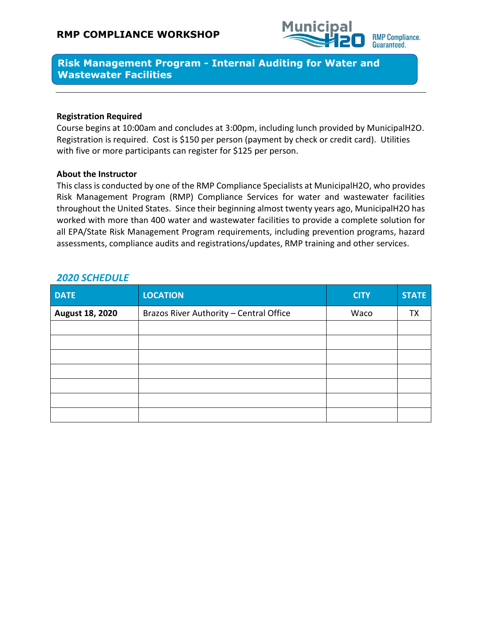

**Risk Management Program - Internal Auditing for Water and Wastewater Facilities**

#### **Registration Required**

Course begins at 10:00am and concludes at 3:00pm, including lunch provided by MunicipalH2O. Registration is required. Cost is \$150 per person (payment by check or credit card). Utilities with five or more participants can register for \$125 per person.

# **About the Instructor**

This class is conducted by one of the RMP Compliance Specialists at MunicipalH2O, who provides Risk Management Program (RMP) Compliance Services for water and wastewater facilities throughout the United States. Since their beginning almost twenty years ago, MunicipalH2O has worked with more than 400 water and wastewater facilities to provide a complete solution for all EPA/State Risk Management Program requirements, including prevention programs, hazard assessments, compliance audits and registrations/updates, RMP training and other services.

| <b>DATE</b>            | <b>LOCATION</b>                         | <b>CITY</b> | <b>STATE</b> |
|------------------------|-----------------------------------------|-------------|--------------|
| <b>August 18, 2020</b> | Brazos River Authority - Central Office | Waco        | ТX           |
|                        |                                         |             |              |
|                        |                                         |             |              |
|                        |                                         |             |              |
|                        |                                         |             |              |
|                        |                                         |             |              |
|                        |                                         |             |              |
|                        |                                         |             |              |

# *2020 SCHEDULE*